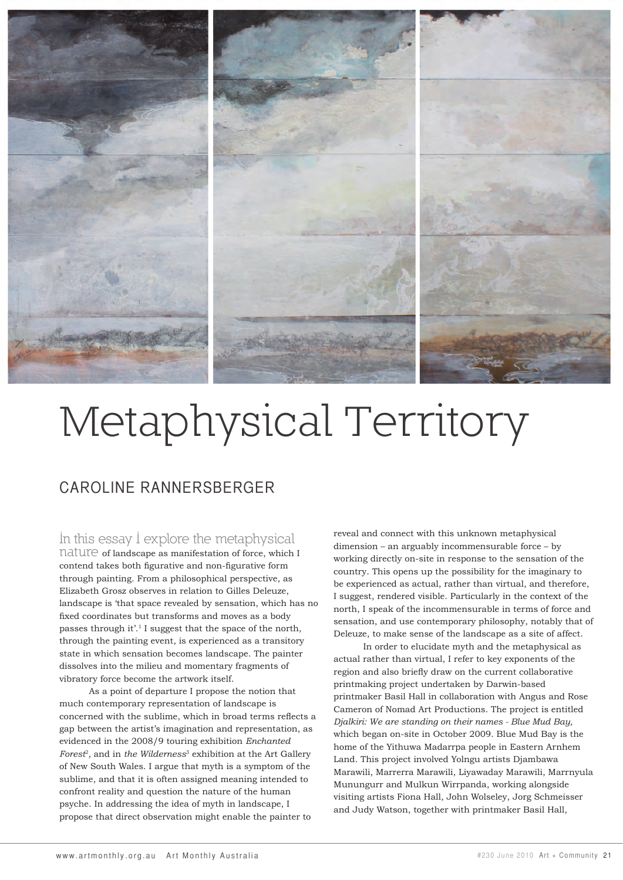

## Metaphysical Territory

## CAROLINE RANNERSBERGER

## In this essay I explore the metaphysical

nature of landscape as manifestation of force, which I contend takes both figurative and non-figurative form through painting. From a philosophical perspective, as Elizabeth Grosz observes in relation to Gilles Deleuze, landscape is 'that space revealed by sensation, which has no fixed coordinates but transforms and moves as a body passes through it'.1 I suggest that the space of the north, through the painting event, is experienced as a transitory state in which sensation becomes landscape. The painter dissolves into the milieu and momentary fragments of vibratory force become the artwork itself.

As a point of departure I propose the notion that much contemporary representation of landscape is concerned with the sublime, which in broad terms reflects a gap between the artist's imagination and representation, as evidenced in the 2008/9 touring exhibition *Enchanted Forest*<sup>2</sup>*,* and in *the Wilderness*3 exhibition at the Art Gallery of New South Wales. I argue that myth is a symptom of the sublime, and that it is often assigned meaning intended to confront reality and question the nature of the human psyche. In addressing the idea of myth in landscape, I propose that direct observation might enable the painter to

reveal and connect with this unknown metaphysical dimension – an arguably incommensurable force – by working directly on-site in response to the sensation of the country. This opens up the possibility for the imaginary to be experienced as actual, rather than virtual, and therefore, I suggest, rendered visible. Particularly in the context of the north, I speak of the incommensurable in terms of force and sensation, and use contemporary philosophy, notably that of Deleuze, to make sense of the landscape as a site of affect.

In order to elucidate myth and the metaphysical as actual rather than virtual, I refer to key exponents of the region and also briefly draw on the current collaborative printmaking project undertaken by Darwin-based printmaker Basil Hall in collaboration with Angus and Rose Cameron of Nomad Art Productions. The project is entitled *Djalkiri: We are standing on their names - Blue Mud Bay,*  which began on-site in October 2009. Blue Mud Bay is the home of the Yithuwa Madarrpa people in Eastern Arnhem Land. This project involved Yolngu artists Djambawa Marawili, Marrerra Marawili, Liyawaday Marawili, Marrnyula Munungurr and Mulkun Wirrpanda, working alongside visiting artists Fiona Hall, John Wolseley, Jorg Schmeisser and Judy Watson, together with printmaker Basil Hall,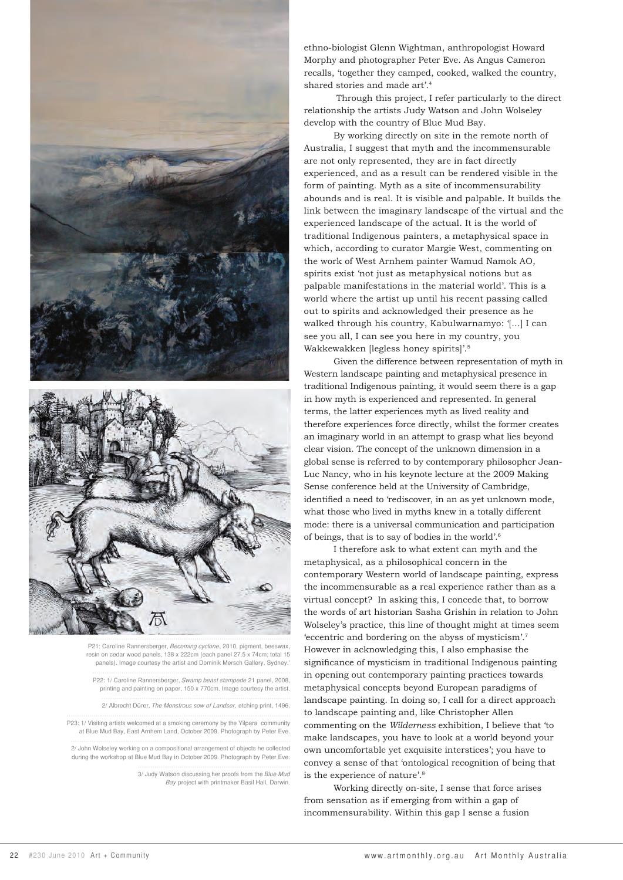



P21: Caroline Rannersberger, Becoming cyclone, 2010, pigment, beeswax, resin on cedar wood panels, 138 x 222cm (each panel 27.5 x 74cm; total 15 panels). Image courtesy the artist and Dominik Mersch Gallery, Sydney.'

P22: 1/ Caroline Rannersberger, Swamp beast stampede 21 panel, 2008, printing and painting on paper, 150 x 770cm. Image courtesy the artist.

2/ Albrecht Dürer, The Monstrous sow of Landser, etching print, 1496.

P23: 1/ Visiting artists welcomed at a smoking ceremony by the Yilpara community at Blue Mud Bay, East Arnhem Land, October 2009. Photograph by Peter Eve.

2/ John Wolseley working on a compositional arrangement of objects he collected during the workshop at Blue Mud Bay in October 2009. Photograph by Peter Eve.

> 3/ Judy Watson discussing her proofs from the Blue Mud Bay project with printmaker Basil Hall, Darwin.

ethno-biologist Glenn Wightman, anthropologist Howard Morphy and photographer Peter Eve. As Angus Cameron recalls, 'together they camped, cooked, walked the country, shared stories and made art'.4

Through this project, I refer particularly to the direct relationship the artists Judy Watson and John Wolseley develop with the country of Blue Mud Bay.

By working directly on site in the remote north of Australia, I suggest that myth and the incommensurable are not only represented, they are in fact directly experienced, and as a result can be rendered visible in the form of painting. Myth as a site of incommensurability abounds and is real. It is visible and palpable. It builds the link between the imaginary landscape of the virtual and the experienced landscape of the actual. It is the world of traditional Indigenous painters, a metaphysical space in which, according to curator Margie West, commenting on the work of West Arnhem painter Wamud Namok AO, spirits exist 'not just as metaphysical notions but as palpable manifestations in the material world'. This is a world where the artist up until his recent passing called out to spirits and acknowledged their presence as he walked through his country, Kabulwarnamyo: '[...] I can see you all, I can see you here in my country, you Wakkewakken [legless honey spirits]'.5

Given the difference between representation of myth in Western landscape painting and metaphysical presence in traditional Indigenous painting, it would seem there is a gap in how myth is experienced and represented. In general terms, the latter experiences myth as lived reality and therefore experiences force directly, whilst the former creates an imaginary world in an attempt to grasp what lies beyond clear vision. The concept of the unknown dimension in a global sense is referred to by contemporary philosopher Jean-Luc Nancy, who in his keynote lecture at the 2009 Making Sense conference held at the University of Cambridge, identified a need to 'rediscover, in an as yet unknown mode, what those who lived in myths knew in a totally different mode: there is a universal communication and participation of beings, that is to say of bodies in the world'.6

I therefore ask to what extent can myth and the metaphysical, as a philosophical concern in the contemporary Western world of landscape painting, express the incommensurable as a real experience rather than as a virtual concept? In asking this, I concede that, to borrow the words of art historian Sasha Grishin in relation to John Wolseley's practice, this line of thought might at times seem 'eccentric and bordering on the abyss of mysticism'.7 However in acknowledging this, I also emphasise the significance of mysticism in traditional Indigenous painting in opening out contemporary painting practices towards metaphysical concepts beyond European paradigms of landscape painting. In doing so, I call for a direct approach to landscape painting and, like Christopher Allen commenting on the *Wilderness* exhibition, I believe that 'to make landscapes, you have to look at a world beyond your own uncomfortable yet exquisite interstices'; you have to convey a sense of that 'ontological recognition of being that is the experience of nature'.8

Working directly on-site, I sense that force arises from sensation as if emerging from within a gap of incommensurability. Within this gap I sense a fusion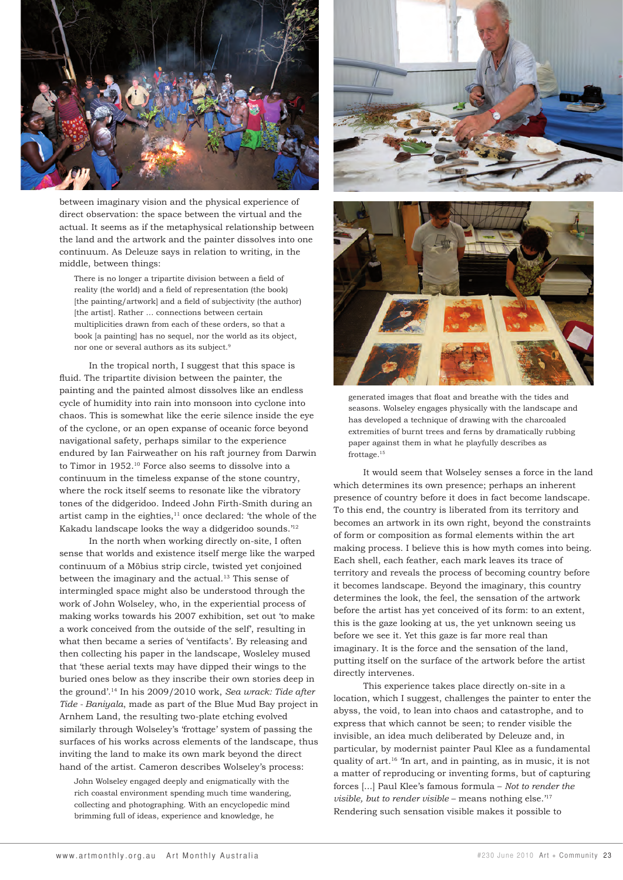

between imaginary vision and the physical experience of direct observation: the space between the virtual and the actual. It seems as if the metaphysical relationship between the land and the artwork and the painter dissolves into one continuum. As Deleuze says in relation to writing, in the middle, between things:

There is no longer a tripartite division between a field of reality (the world) and a field of representation (the book) [the painting/artwork] and a field of subjectivity (the author) [the artist]. Rather … connections between certain multiplicities drawn from each of these orders, so that a book [a painting] has no sequel, nor the world as its object, nor one or several authors as its subject.9

In the tropical north, I suggest that this space is fluid. The tripartite division between the painter, the painting and the painted almost dissolves like an endless cycle of humidity into rain into monsoon into cyclone into chaos. This is somewhat like the eerie silence inside the eye of the cyclone, or an open expanse of oceanic force beyond navigational safety, perhaps similar to the experience endured by Ian Fairweather on his raft journey from Darwin to Timor in 1952.10 Force also seems to dissolve into a continuum in the timeless expanse of the stone country, where the rock itself seems to resonate like the vibratory tones of the didgeridoo. Indeed John Firth-Smith during an artist camp in the eighties, $11$  once declared: 'the whole of the Kakadu landscape looks the way a didgeridoo sounds.'12

In the north when working directly on-site, I often sense that worlds and existence itself merge like the warped continuum of a Möbius strip circle, twisted yet conjoined between the imaginary and the actual.<sup>13</sup> This sense of intermingled space might also be understood through the work of John Wolseley, who, in the experiential process of making works towards his 2007 exhibition, set out 'to make a work conceived from the outside of the self', resulting in what then became a series of 'ventifacts'. By releasing and then collecting his paper in the landscape, Wosleley mused that 'these aerial texts may have dipped their wings to the buried ones below as they inscribe their own stories deep in the ground'.14 In his 2009/2010 work, *Sea wrack: Tide after Tide - Baniyala*, made as part of the Blue Mud Bay project in Arnhem Land, the resulting two-plate etching evolved similarly through Wolseley's 'frottage' system of passing the surfaces of his works across elements of the landscape, thus inviting the land to make its own mark beyond the direct hand of the artist. Cameron describes Wolseley's process:

John Wolseley engaged deeply and enigmatically with the rich coastal environment spending much time wandering, collecting and photographing. With an encyclopedic mind brimming full of ideas, experience and knowledge, he





generated images that float and breathe with the tides and seasons. Wolseley engages physically with the landscape and has developed a technique of drawing with the charcoaled extremities of burnt trees and ferns by dramatically rubbing paper against them in what he playfully describes as frottage.15

It would seem that Wolseley senses a force in the land which determines its own presence; perhaps an inherent presence of country before it does in fact become landscape. To this end, the country is liberated from its territory and becomes an artwork in its own right, beyond the constraints of form or composition as formal elements within the art making process. I believe this is how myth comes into being. Each shell, each feather, each mark leaves its trace of territory and reveals the process of becoming country before it becomes landscape. Beyond the imaginary, this country determines the look, the feel, the sensation of the artwork before the artist has yet conceived of its form: to an extent, this is the gaze looking at us, the yet unknown seeing us before we see it. Yet this gaze is far more real than imaginary. It is the force and the sensation of the land, putting itself on the surface of the artwork before the artist directly intervenes.

This experience takes place directly on-site in a location, which I suggest, challenges the painter to enter the abyss, the void, to lean into chaos and catastrophe, and to express that which cannot be seen; to render visible the invisible, an idea much deliberated by Deleuze and, in particular, by modernist painter Paul Klee as a fundamental quality of art.16 'In art, and in painting, as in music, it is not a matter of reproducing or inventing forms, but of capturing forces [...] Paul Klee's famous formula – *Not to render the visible, but to render visible* – means nothing else.'17 Rendering such sensation visible makes it possible to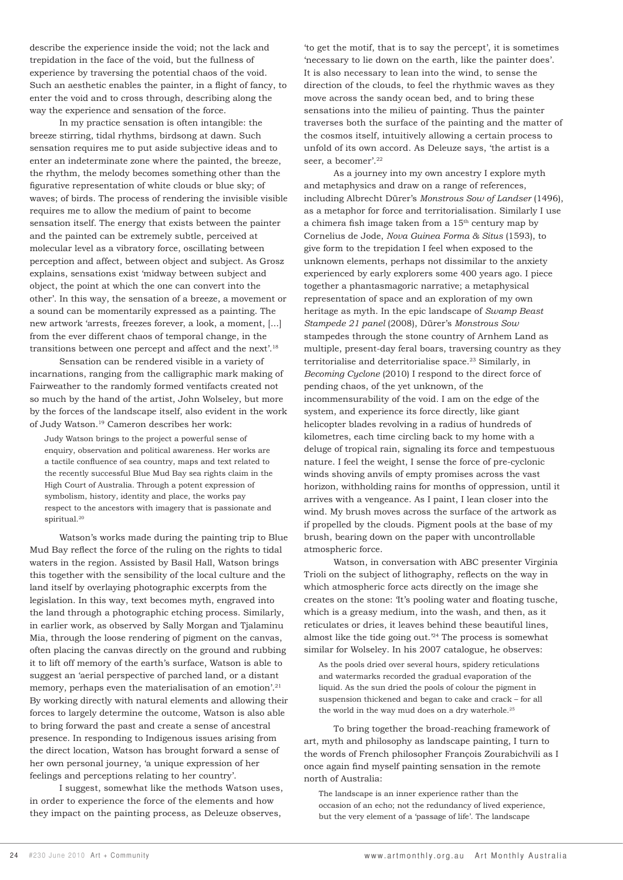describe the experience inside the void; not the lack and trepidation in the face of the void, but the fullness of experience by traversing the potential chaos of the void. Such an aesthetic enables the painter, in a flight of fancy, to enter the void and to cross through, describing along the way the experience and sensation of the force.

In my practice sensation is often intangible: the breeze stirring, tidal rhythms, birdsong at dawn. Such sensation requires me to put aside subjective ideas and to enter an indeterminate zone where the painted, the breeze, the rhythm, the melody becomes something other than the figurative representation of white clouds or blue sky; of waves; of birds. The process of rendering the invisible visible requires me to allow the medium of paint to become sensation itself. The energy that exists between the painter and the painted can be extremely subtle, perceived at molecular level as a vibratory force, oscillating between perception and affect, between object and subject. As Grosz explains, sensations exist 'midway between subject and object, the point at which the one can convert into the other'. In this way, the sensation of a breeze, a movement or a sound can be momentarily expressed as a painting. The new artwork 'arrests, freezes forever, a look, a moment, [...] from the ever different chaos of temporal change, in the transitions between one percept and affect and the next'.18

Sensation can be rendered visible in a variety of incarnations, ranging from the calligraphic mark making of Fairweather to the randomly formed ventifacts created not so much by the hand of the artist, John Wolseley, but more by the forces of the landscape itself, also evident in the work of Judy Watson.19 Cameron describes her work:

Judy Watson brings to the project a powerful sense of enquiry, observation and political awareness. Her works are a tactile confluence of sea country, maps and text related to the recently successful Blue Mud Bay sea rights claim in the High Court of Australia. Through a potent expression of symbolism, history, identity and place, the works pay respect to the ancestors with imagery that is passionate and spiritual.<sup>20</sup>

Watson's works made during the painting trip to Blue Mud Bay reflect the force of the ruling on the rights to tidal waters in the region. Assisted by Basil Hall, Watson brings this together with the sensibility of the local culture and the land itself by overlaying photographic excerpts from the legislation. In this way, text becomes myth, engraved into the land through a photographic etching process. Similarly, in earlier work, as observed by Sally Morgan and Tjalaminu Mia, through the loose rendering of pigment on the canvas, often placing the canvas directly on the ground and rubbing it to lift off memory of the earth's surface, Watson is able to suggest an 'aerial perspective of parched land, or a distant memory, perhaps even the materialisation of an emotion'.<sup>21</sup> By working directly with natural elements and allowing their forces to largely determine the outcome, Watson is also able to bring forward the past and create a sense of ancestral presence. In responding to Indigenous issues arising from the direct location, Watson has brought forward a sense of her own personal journey, 'a unique expression of her feelings and perceptions relating to her country'.

I suggest, somewhat like the methods Watson uses, in order to experience the force of the elements and how they impact on the painting process, as Deleuze observes,

'to get the motif, that is to say the percept', it is sometimes 'necessary to lie down on the earth, like the painter does'. It is also necessary to lean into the wind, to sense the direction of the clouds, to feel the rhythmic waves as they move across the sandy ocean bed, and to bring these sensations into the milieu of painting. Thus the painter traverses both the surface of the painting and the matter of the cosmos itself, intuitively allowing a certain process to unfold of its own accord. As Deleuze says, 'the artist is a seer, a becomer'.<sup>22</sup>

As a journey into my own ancestry I explore myth and metaphysics and draw on a range of references, including Albrecht Dürer's *Monstrous Sow of Landser* (1496), as a metaphor for force and territorialisation. Similarly I use a chimera fish image taken from a  $15<sup>th</sup>$  century map by Cornelius de Jode, *Nova Guinea Forma & Situs* (1593), to give form to the trepidation I feel when exposed to the unknown elements, perhaps not dissimilar to the anxiety experienced by early explorers some 400 years ago. I piece together a phantasmagoric narrative; a metaphysical representation of space and an exploration of my own heritage as myth. In the epic landscape of *Swamp Beast Stampede 21 panel* (2008), Dürer's *Monstrous Sow* stampedes through the stone country of Arnhem Land as multiple, present-day feral boars, traversing country as they territorialise and deterritorialise space.<sup>23</sup> Similarly, in *Becoming Cyclone* (2010) I respond to the direct force of pending chaos, of the yet unknown, of the incommensurability of the void. I am on the edge of the system, and experience its force directly, like giant helicopter blades revolving in a radius of hundreds of kilometres, each time circling back to my home with a deluge of tropical rain, signaling its force and tempestuous nature. I feel the weight, I sense the force of pre-cyclonic winds shoving anvils of empty promises across the vast horizon, withholding rains for months of oppression, until it arrives with a vengeance. As I paint, I lean closer into the wind. My brush moves across the surface of the artwork as if propelled by the clouds. Pigment pools at the base of my brush, bearing down on the paper with uncontrollable atmospheric force.

Watson, in conversation with ABC presenter Virginia Trioli on the subject of lithography, reflects on the way in which atmospheric force acts directly on the image she creates on the stone: 'It's pooling water and floating tusche, which is a greasy medium, into the wash, and then, as it reticulates or dries, it leaves behind these beautiful lines, almost like the tide going out.'24 The process is somewhat similar for Wolseley. In his 2007 catalogue, he observes:

As the pools dried over several hours, spidery reticulations and watermarks recorded the gradual evaporation of the liquid. As the sun dried the pools of colour the pigment in suspension thickened and began to cake and crack – for all the world in the way mud does on a dry waterhole.<sup>25</sup>

To bring together the broad-reaching framework of art, myth and philosophy as landscape painting, I turn to the words of French philosopher François Zourabichvili as I once again find myself painting sensation in the remote north of Australia:

The landscape is an inner experience rather than the occasion of an echo; not the redundancy of lived experience, but the very element of a 'passage of life'. The landscape